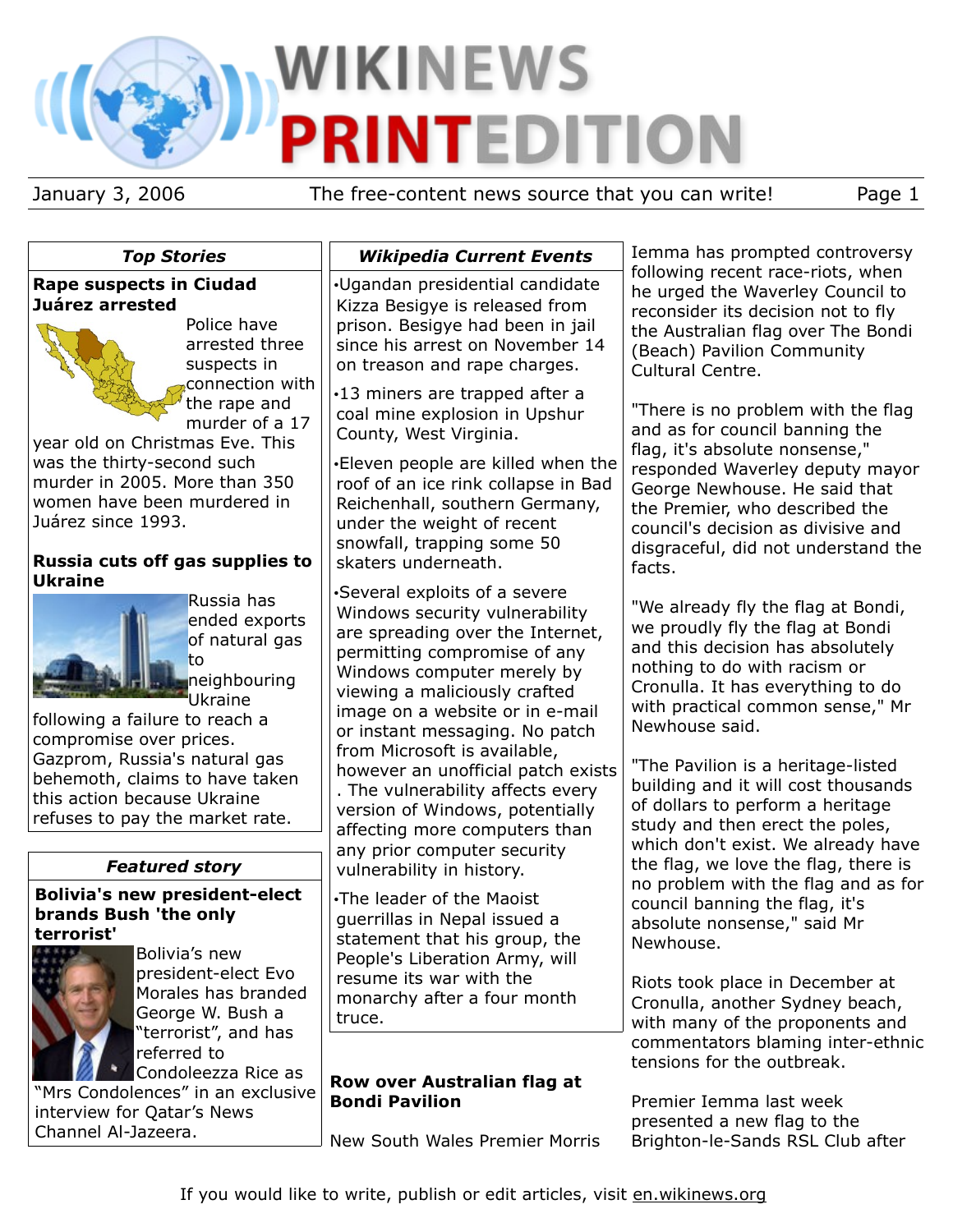# **WIKINEWS PRINTEDITION**

January 3, 2006 The free-content news source that you can write! Page 1

# *Top Stories*

## **Rape suspects in Ciudad Juárez arrested**



Police have arrested three suspects in connection with the rape and murder of a 17

year old on Christmas Eve. This was the thirty-second such murder in 2005. More than 350 women have been murdered in Juárez since 1993.

## **Russia cuts off gas supplies to Ukraine**



Russia has ended exports of natural gas to neighbouring

Ukraine following a failure to reach a compromise over prices. Gazprom, Russia's natural gas behemoth, claims to have taken this action because Ukraine refuses to pay the market rate.

# *Featured story*

**Bolivia's new president-elect brands Bush 'the only terrorist'**



Bolivia's new president-elect Evo Morales has branded George W. Bush a "terrorist", and has referred to Condoleezza Rice as

"Mrs Condolences" in an exclusive interview for Qatar's News Channel Al-Jazeera.

# *Wikipedia Current Events*

•Ugandan presidential candidate Kizza Besigye is released from prison. Besigye had been in jail since his arrest on November 14 on treason and rape charges.

•13 miners are trapped after a coal mine explosion in Upshur County, West Virginia.

•Eleven people are killed when the roof of an ice rink collapse in Bad Reichenhall, southern Germany, under the weight of recent snowfall, trapping some 50 skaters underneath.

•Several exploits of a severe Windows security vulnerability are spreading over the Internet, permitting compromise of any Windows computer merely by viewing a maliciously crafted image on a website or in e-mail or instant messaging. No patch from Microsoft is available, however an unofficial patch exists . The vulnerability affects every version of Windows, potentially affecting more computers than any prior computer security vulnerability in history.

•The leader of the Maoist guerrillas in Nepal issued a statement that his group, the People's Liberation Army, will resume its war with the monarchy after a four month truce.

# **Row over Australian flag at Bondi Pavilion**

New South Wales Premier Morris

Iemma has prompted controversy following recent race-riots, when he urged the Waverley Council to reconsider its decision not to fly the Australian flag over The Bondi (Beach) Pavilion Community Cultural Centre.

"There is no problem with the flag and as for council banning the flag, it's absolute nonsense," responded Waverley deputy mayor George Newhouse. He said that the Premier, who described the council's decision as divisive and disgraceful, did not understand the facts.

"We already fly the flag at Bondi, we proudly fly the flag at Bondi and this decision has absolutely nothing to do with racism or Cronulla. It has everything to do with practical common sense," Mr Newhouse said.

"The Pavilion is a heritage-listed building and it will cost thousands of dollars to perform a heritage study and then erect the poles, which don't exist. We already have the flag, we love the flag, there is no problem with the flag and as for council banning the flag, it's absolute nonsense," said Mr Newhouse.

Riots took place in December at Cronulla, another Sydney beach, with many of the proponents and commentators blaming inter-ethnic tensions for the outbreak.

Premier Iemma last week presented a new flag to the Brighton-le-Sands RSL Club after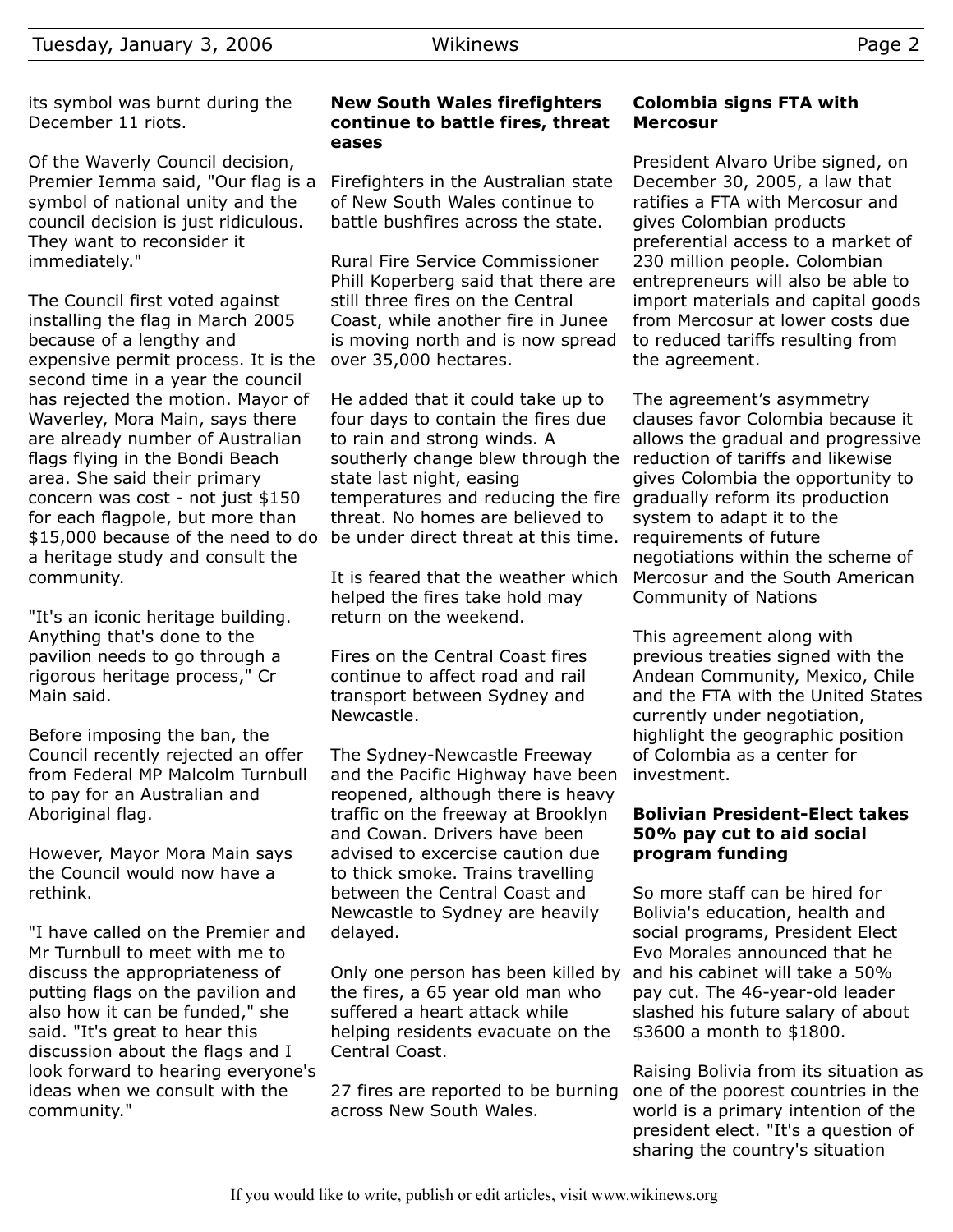its symbol was burnt during the December 11 riots.

Of the Waverly Council decision, Premier Iemma said, "Our flag is a symbol of national unity and the council decision is just ridiculous. They want to reconsider it immediately."

The Council first voted against installing the flag in March 2005 because of a lengthy and expensive permit process. It is the second time in a year the council has rejected the motion. Mayor of Waverley, Mora Main, says there are already number of Australian flags flying in the Bondi Beach area. She said their primary concern was cost - not just \$150 for each flagpole, but more than \$15,000 because of the need to do a heritage study and consult the community.

"It's an iconic heritage building. Anything that's done to the pavilion needs to go through a rigorous heritage process," Cr Main said.

Before imposing the ban, the Council recently rejected an offer from Federal MP Malcolm Turnbull to pay for an Australian and Aboriginal flag.

However, Mayor Mora Main says the Council would now have a rethink.

"I have called on the Premier and Mr Turnbull to meet with me to discuss the appropriateness of putting flags on the pavilion and also how it can be funded," she said. "It's great to hear this discussion about the flags and I look forward to hearing everyone's ideas when we consult with the community."

#### **New South Wales firefighters continue to battle fires, threat eases**

Firefighters in the Australian state of New South Wales continue to battle bushfires across the state.

Rural Fire Service Commissioner Phill Koperberg said that there are still three fires on the Central Coast, while another fire in Junee is moving north and is now spread over 35,000 hectares.

He added that it could take up to four days to contain the fires due to rain and strong winds. A southerly change blew through the state last night, easing temperatures and reducing the fire gradually reform its production threat. No homes are believed to be under direct threat at this time.

It is feared that the weather which helped the fires take hold may return on the weekend.

Fires on the Central Coast fires continue to affect road and rail transport between Sydney and Newcastle.

The Sydney-Newcastle Freeway and the Pacific Highway have been reopened, although there is heavy traffic on the freeway at Brooklyn and Cowan. Drivers have been advised to excercise caution due to thick smoke. Trains travelling between the Central Coast and Newcastle to Sydney are heavily delayed.

Only one person has been killed by the fires, a 65 year old man who suffered a heart attack while helping residents evacuate on the Central Coast.

27 fires are reported to be burning across New South Wales.

## **Colombia signs FTA with Mercosur**

President Alvaro Uribe signed, on December 30, 2005, a law that ratifies a FTA with Mercosur and gives Colombian products preferential access to a market of 230 million people. Colombian entrepreneurs will also be able to import materials and capital goods from Mercosur at lower costs due to reduced tariffs resulting from the agreement.

The agreement's asymmetry clauses favor Colombia because it allows the gradual and progressive reduction of tariffs and likewise gives Colombia the opportunity to system to adapt it to the requirements of future negotiations within the scheme of Mercosur and the South American Community of Nations

This agreement along with previous treaties signed with the Andean Community, Mexico, Chile and the FTA with the United States currently under negotiation, highlight the geographic position of Colombia as a center for investment.

#### **Bolivian President-Elect takes 50% pay cut to aid social program funding**

So more staff can be hired for Bolivia's education, health and social programs, President Elect Evo Morales announced that he and his cabinet will take a 50% pay cut. The 46-year-old leader slashed his future salary of about \$3600 a month to \$1800.

Raising Bolivia from its situation as one of the poorest countries in the world is a primary intention of the president elect. "It's a question of sharing the country's situation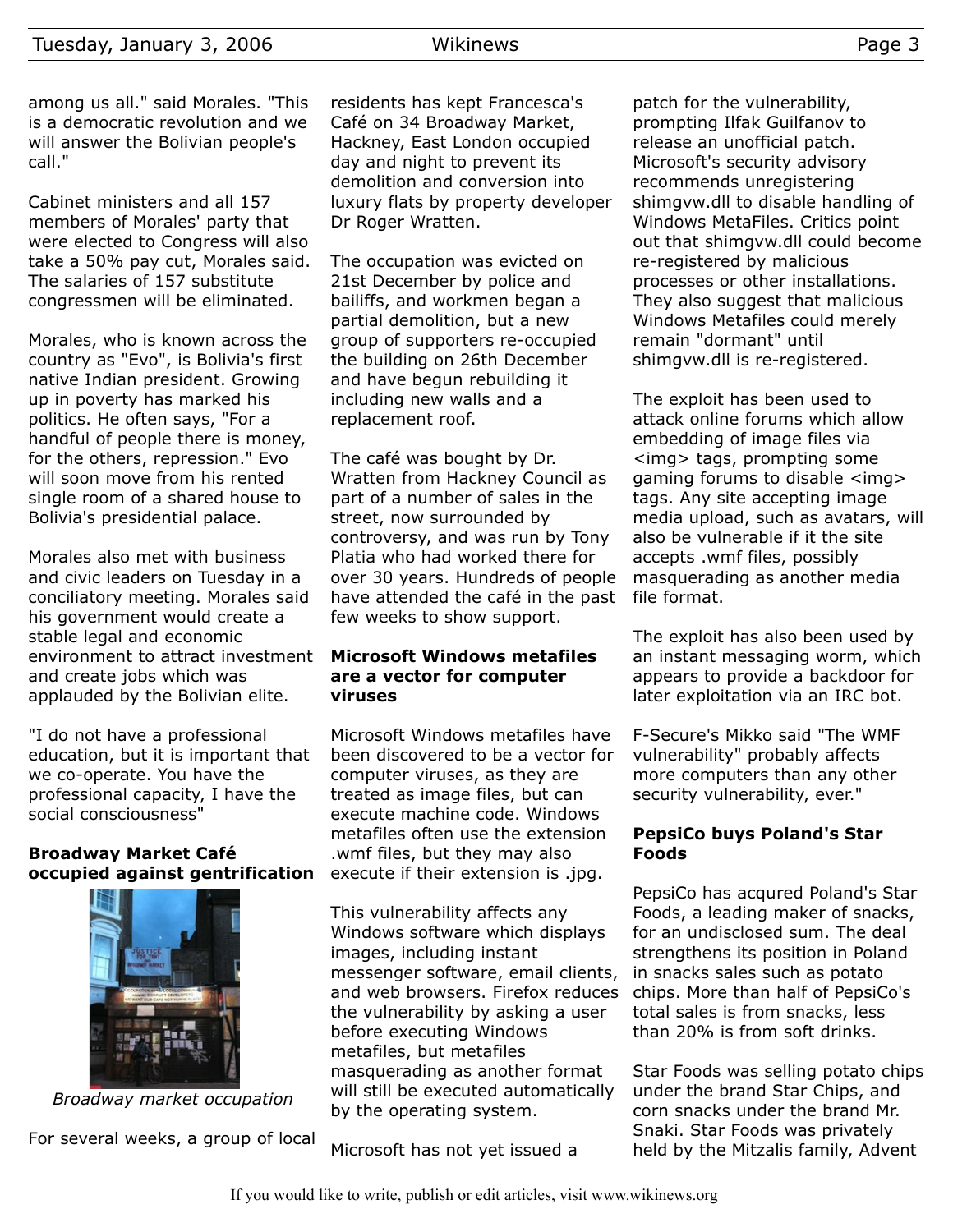among us all." said Morales. "This is a democratic revolution and we will answer the Bolivian people's call."

Cabinet ministers and all 157 members of Morales' party that were elected to Congress will also take a 50% pay cut, Morales said. The salaries of 157 substitute congressmen will be eliminated.

Morales, who is known across the country as "Evo", is Bolivia's first native Indian president. Growing up in poverty has marked his politics. He often says, "For a handful of people there is money, for the others, repression." Evo will soon move from his rented single room of a shared house to Bolivia's presidential palace.

Morales also met with business and civic leaders on Tuesday in a conciliatory meeting. Morales said his government would create a stable legal and economic environment to attract investment and create jobs which was applauded by the Bolivian elite.

"I do not have a professional education, but it is important that we co-operate. You have the professional capacity, I have the social consciousness"

#### **Broadway Market Café occupied against gentrification**



*Broadway market occupation*

For several weeks, a group of local

residents has kept Francesca's Café on 34 Broadway Market, Hackney, East London occupied day and night to prevent its demolition and conversion into luxury flats by property developer Dr Roger Wratten.

The occupation was evicted on 21st December by police and bailiffs, and workmen began a partial demolition, but a new group of supporters re-occupied the building on 26th December and have begun rebuilding it including new walls and a replacement roof.

The café was bought by Dr. Wratten from Hackney Council as part of a number of sales in the street, now surrounded by controversy, and was run by Tony Platia who had worked there for over 30 years. Hundreds of people have attended the café in the past few weeks to show support.

#### **Microsoft Windows metafiles are a vector for computer viruses**

Microsoft Windows metafiles have been discovered to be a vector for computer viruses, as they are treated as image files, but can execute machine code. Windows metafiles often use the extension .wmf files, but they may also execute if their extension is .jpg.

This vulnerability affects any Windows software which displays images, including instant messenger software, email clients, and web browsers. Firefox reduces the vulnerability by asking a user before executing Windows metafiles, but metafiles masquerading as another format will still be executed automatically by the operating system.

Microsoft has not yet issued a

patch for the vulnerability, prompting Ilfak Guilfanov to release an unofficial patch. Microsoft's security advisory recommends unregistering shimgvw.dll to disable handling of Windows MetaFiles. Critics point out that shimgvw.dll could become re-registered by malicious processes or other installations. They also suggest that malicious Windows Metafiles could merely remain "dormant" until shimgvw.dll is re-registered.

The exploit has been used to attack online forums which allow embedding of image files via <img> tags, prompting some gaming forums to disable <img> tags. Any site accepting image media upload, such as avatars, will also be vulnerable if it the site accepts .wmf files, possibly masquerading as another media file format.

The exploit has also been used by an instant messaging worm, which appears to provide a backdoor for later exploitation via an IRC bot.

F-Secure's Mikko said "The WMF vulnerability" probably affects more computers than any other security vulnerability, ever."

#### **PepsiCo buys Poland's Star Foods**

PepsiCo has acqured Poland's Star Foods, a leading maker of snacks, for an undisclosed sum. The deal strengthens its position in Poland in snacks sales such as potato chips. More than half of PepsiCo's total sales is from snacks, less than 20% is from soft drinks.

Star Foods was selling potato chips under the brand Star Chips, and corn snacks under the brand Mr. Snaki. Star Foods was privately held by the Mitzalis family, Advent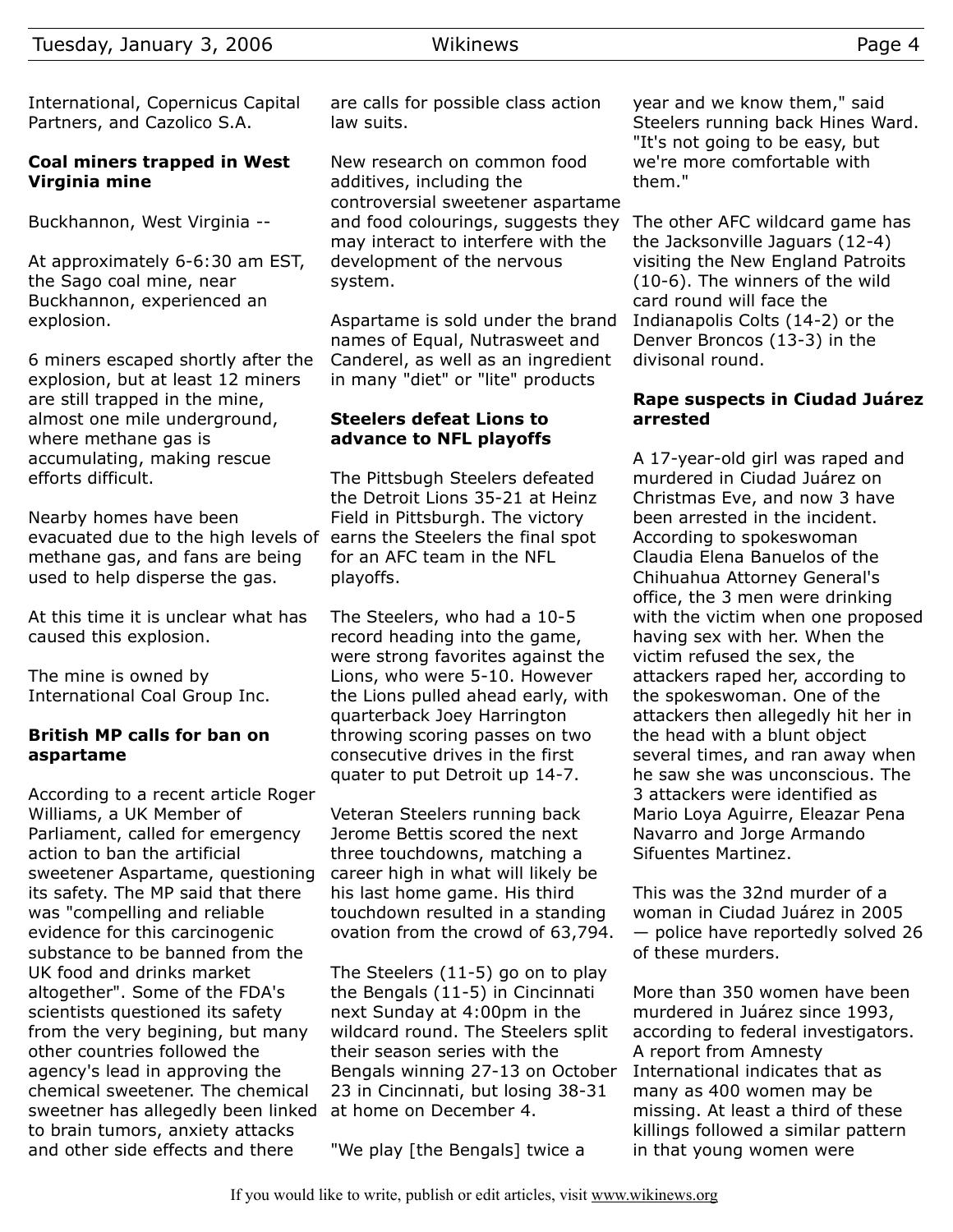International, Copernicus Capital Partners, and Cazolico S.A.

## **Coal miners trapped in West Virginia mine**

Buckhannon, West Virginia --

At approximately 6-6:30 am EST, the Sago coal mine, near Buckhannon, experienced an explosion.

6 miners escaped shortly after the explosion, but at least 12 miners are still trapped in the mine, almost one mile underground, where methane gas is accumulating, making rescue efforts difficult.

Nearby homes have been evacuated due to the high levels of earns the Steelers the final spot methane gas, and fans are being used to help disperse the gas.

At this time it is unclear what has caused this explosion.

The mine is owned by International Coal Group Inc.

## **British MP calls for ban on aspartame**

According to a recent article Roger Williams, a UK Member of Parliament, called for emergency action to ban the artificial sweetener Aspartame, questioning its safety. The MP said that there was "compelling and reliable evidence for this carcinogenic substance to be banned from the UK food and drinks market altogether". Some of the FDA's scientists questioned its safety from the very begining, but many other countries followed the agency's lead in approving the chemical sweetener. The chemical sweetner has allegedly been linked to brain tumors, anxiety attacks and other side effects and there

are calls for possible class action law suits.

New research on common food additives, including the controversial sweetener aspartame and food colourings, suggests they may interact to interfere with the development of the nervous system.

Aspartame is sold under the brand names of Equal, Nutrasweet and Canderel, as well as an ingredient in many "diet" or "lite" products

## **Steelers defeat Lions to advance to NFL playoffs**

The Pittsbugh Steelers defeated the Detroit Lions 35-21 at Heinz Field in Pittsburgh. The victory for an AFC team in the NFL playoffs.

The Steelers, who had a 10-5 record heading into the game, were strong favorites against the Lions, who were 5-10. However the Lions pulled ahead early, with quarterback Joey Harrington throwing scoring passes on two consecutive drives in the first quater to put Detroit up 14-7.

Veteran Steelers running back Jerome Bettis scored the next three touchdowns, matching a career high in what will likely be his last home game. His third touchdown resulted in a standing ovation from the crowd of 63,794.

The Steelers (11-5) go on to play the Bengals (11-5) in Cincinnati next Sunday at 4:00pm in the wildcard round. The Steelers split their season series with the Bengals winning 27-13 on October 23 in Cincinnati, but losing 38-31 at home on December 4.

"We play [the Bengals] twice a

year and we know them," said Steelers running back Hines Ward. "It's not going to be easy, but we're more comfortable with them."

The other AFC wildcard game has the Jacksonville Jaguars (12-4) visiting the New England Patroits (10-6). The winners of the wild card round will face the Indianapolis Colts (14-2) or the Denver Broncos (13-3) in the divisonal round.

## **Rape suspects in Ciudad Juárez arrested**

A 17-year-old girl was raped and murdered in Ciudad Juárez on Christmas Eve, and now 3 have been arrested in the incident. According to spokeswoman Claudia Elena Banuelos of the Chihuahua Attorney General's office, the 3 men were drinking with the victim when one proposed having sex with her. When the victim refused the sex, the attackers raped her, according to the spokeswoman. One of the attackers then allegedly hit her in the head with a blunt object several times, and ran away when he saw she was unconscious. The 3 attackers were identified as Mario Loya Aguirre, Eleazar Pena Navarro and Jorge Armando Sifuentes Martinez.

This was the 32nd murder of a woman in Ciudad Juárez in 2005 — police have reportedly solved 26 of these murders.

More than 350 women have been murdered in Juárez since 1993, according to federal investigators. A report from Amnesty International indicates that as many as 400 women may be missing. At least a third of these killings followed a similar pattern in that young women were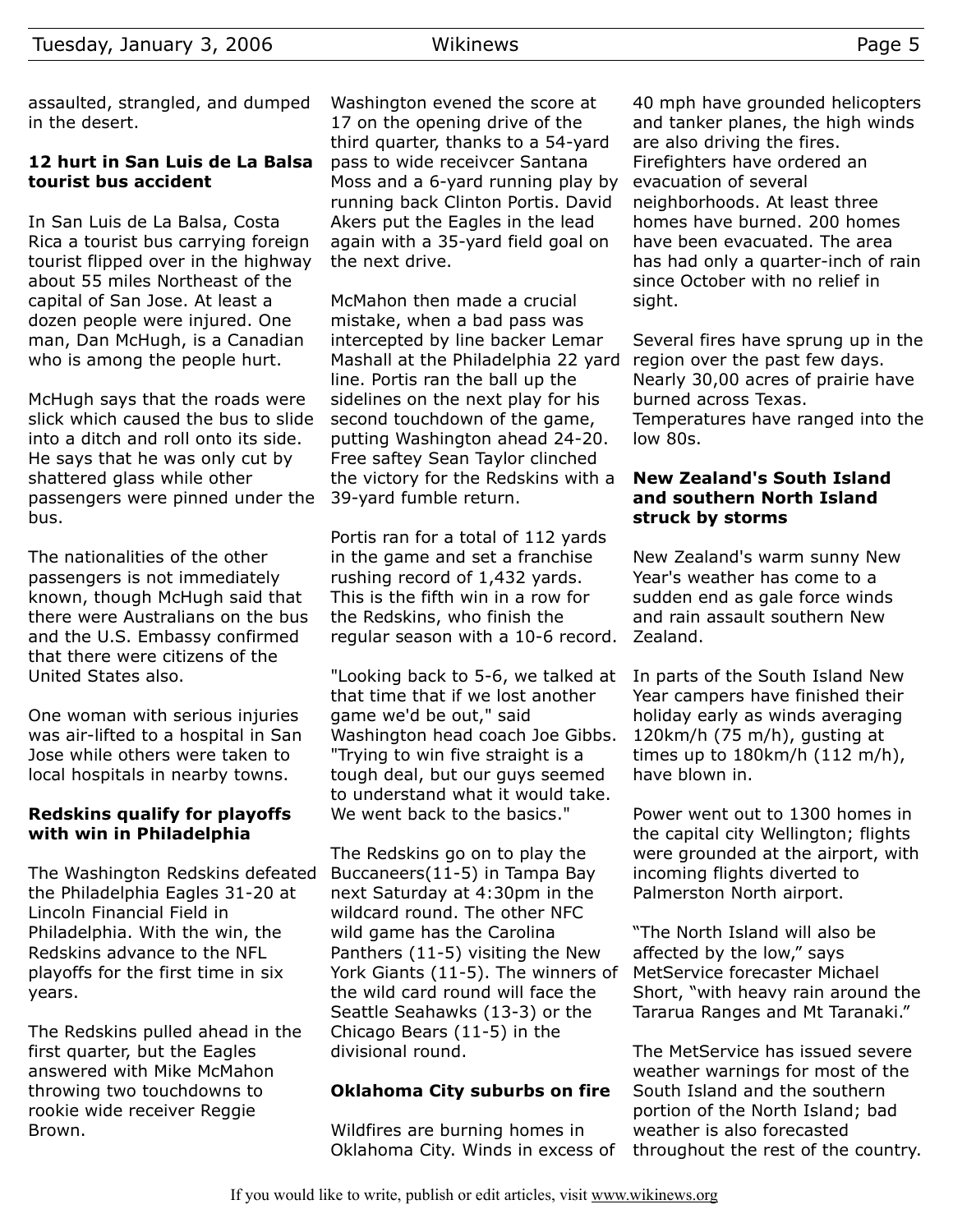## **12 hurt in San Luis de La Balsa tourist bus accident**

In San Luis de La Balsa, Costa Rica a tourist bus carrying foreign tourist flipped over in the highway about 55 miles Northeast of the capital of San Jose. At least a dozen people were injured. One man, Dan McHugh, is a Canadian who is among the people hurt.

McHugh says that the roads were slick which caused the bus to slide into a ditch and roll onto its side. He says that he was only cut by shattered glass while other passengers were pinned under the 39-yard fumble return. bus.

The nationalities of the other passengers is not immediately known, though McHugh said that there were Australians on the bus and the U.S. Embassy confirmed that there were citizens of the United States also.

One woman with serious injuries was air-lifted to a hospital in San Jose while others were taken to local hospitals in nearby towns.

# **Redskins qualify for playoffs with win in Philadelphia**

The Washington Redskins defeated the Philadelphia Eagles 31-20 at Lincoln Financial Field in Philadelphia. With the win, the Redskins advance to the NFL playoffs for the first time in six years.

The Redskins pulled ahead in the first quarter, but the Eagles answered with Mike McMahon throwing two touchdowns to rookie wide receiver Reggie Brown.

Washington evened the score at 17 on the opening drive of the third quarter, thanks to a 54-yard pass to wide receivcer Santana Moss and a 6-yard running play by running back Clinton Portis. David Akers put the Eagles in the lead again with a 35-yard field goal on the next drive.

McMahon then made a crucial mistake, when a bad pass was intercepted by line backer Lemar Mashall at the Philadelphia 22 yard line. Portis ran the ball up the sidelines on the next play for his second touchdown of the game, putting Washington ahead 24-20. Free saftey Sean Taylor clinched the victory for the Redskins with a

Portis ran for a total of 112 yards in the game and set a franchise rushing record of 1,432 yards. This is the fifth win in a row for the Redskins, who finish the regular season with a 10-6 record.

"Looking back to 5-6, we talked at that time that if we lost another game we'd be out," said Washington head coach Joe Gibbs. "Trying to win five straight is a tough deal, but our guys seemed to understand what it would take. We went back to the basics."

The Redskins go on to play the Buccaneers(11-5) in Tampa Bay next Saturday at 4:30pm in the wildcard round. The other NFC wild game has the Carolina Panthers (11-5) visiting the New York Giants (11-5). The winners of the wild card round will face the Seattle Seahawks (13-3) or the Chicago Bears (11-5) in the divisional round.

# **Oklahoma City suburbs on fire**

Wildfires are burning homes in Oklahoma City. Winds in excess of 40 mph have grounded helicopters and tanker planes, the high winds are also driving the fires. Firefighters have ordered an evacuation of several neighborhoods. At least three homes have burned. 200 homes have been evacuated. The area has had only a quarter-inch of rain since October with no relief in sight.

Several fires have sprung up in the region over the past few days. Nearly 30,00 acres of prairie have burned across Texas. Temperatures have ranged into the low 80s.

## **New Zealand's South Island and southern North Island struck by storms**

New Zealand's warm sunny New Year's weather has come to a sudden end as gale force winds and rain assault southern New Zealand.

In parts of the South Island New Year campers have finished their holiday early as winds averaging 120km/h (75 m/h), gusting at times up to 180km/h (112 m/h), have blown in.

Power went out to 1300 homes in the capital city Wellington; flights were grounded at the airport, with incoming flights diverted to Palmerston North airport.

"The North Island will also be affected by the low," says MetService forecaster Michael Short, "with heavy rain around the Tararua Ranges and Mt Taranaki."

The MetService has issued severe weather warnings for most of the South Island and the southern portion of the North Island; bad weather is also forecasted throughout the rest of the country.